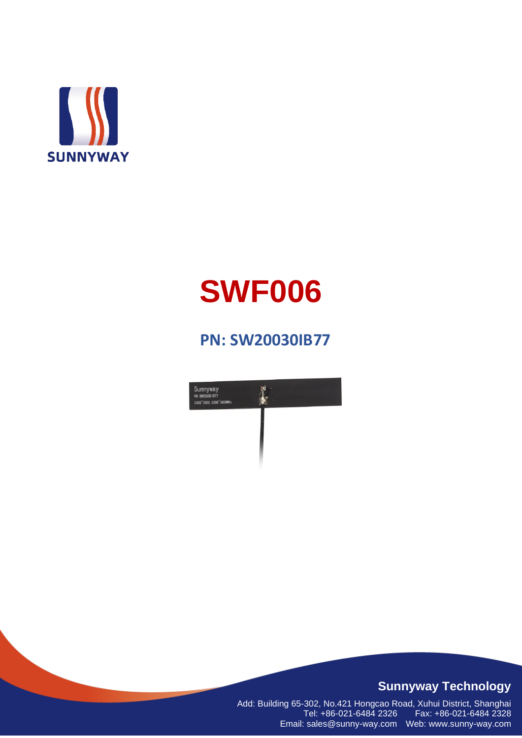

# **SWF006**

## **PN: SW20030IB77**



#### **Sunnyway Technology**

Add: Building 65-302, No.421 Hongcao Road, Xuhui District, Shanghai Tel: +86-021-6484 2326 Fax: +86-021-6484 2328 Email: sales@sunny-way.com Web: www.sunny-way.com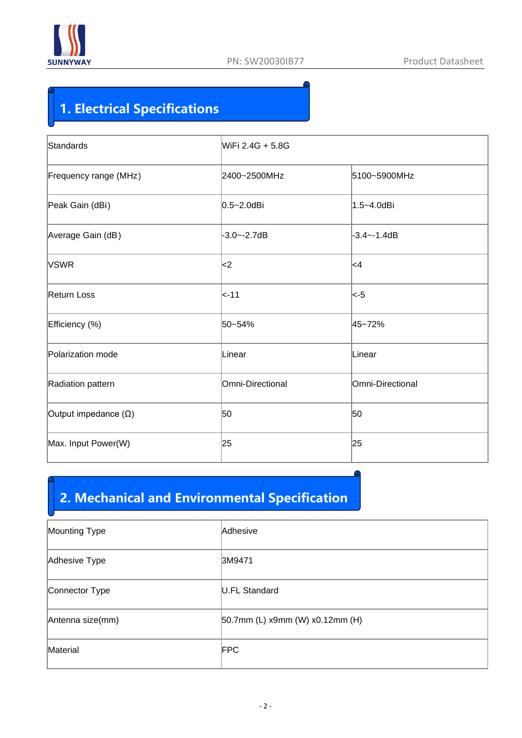

## **1. Electrical Specifications**

| Standards                   | WiFi 2.4G + 5.8G |                  |  |
|-----------------------------|------------------|------------------|--|
| Frequency range (MHz)       | 2400~2500MHz     | 5100~5900MHz     |  |
| Peak Gain (dBi)             | $0.5 - 2.0$ dBi  | 1.5~4.0dBi       |  |
| Average Gain (dB)           | $-3.0 - -2.7dB$  | $-3.4 - -1.4dB$  |  |
| <b>VSWR</b>                 | ∣<2              | ∣<4              |  |
| Return Loss                 | $\approx -11$    | <-5              |  |
| Efficiency (%)              | 50~54%           | 45~72%           |  |
| Polarization mode           | Linear           | Linear           |  |
| Radiation pattern           | Omni-Directional | Omni-Directional |  |
| Output impedance $(\Omega)$ | 50               | 50               |  |
| Max. Input Power(W)         | 25               | 25               |  |

## **2. Mechanical and Environmental Specification**

| Mounting Type    | Adhesive                        |
|------------------|---------------------------------|
| Adhesive Type    | 3M9471                          |
| Connector Type   | U.FL Standard                   |
| Antenna size(mm) | 50.7mm (L) x9mm (W) x0.12mm (H) |
| Material         | <b>FPC</b>                      |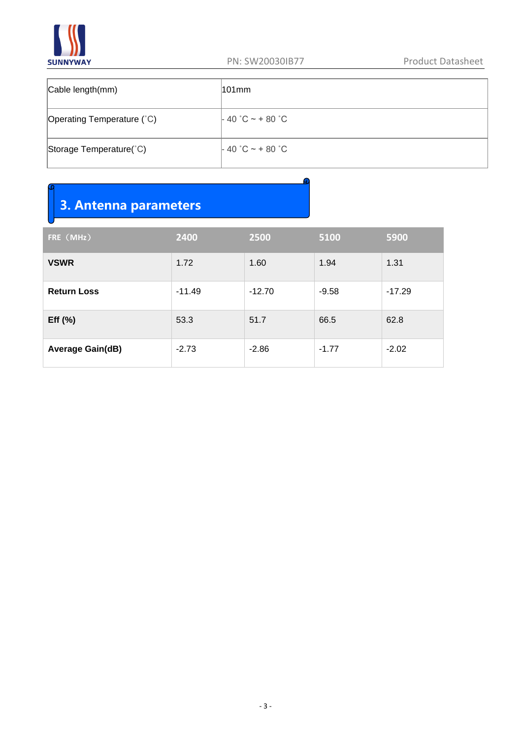

| Cable length(mm)           | l101mm             |
|----------------------------|--------------------|
| Operating Temperature (°C) | $-40$ °C ~ + 80 °C |
| Storage Temperature(°C)    | $-40$ °C ~ + 80 °C |

# **3. Antenna parameters**

| FRE (MHz)               | 2400     | 2500     | 5100    | 5900     |
|-------------------------|----------|----------|---------|----------|
| <b>VSWR</b>             | 1.72     | 1.60     | 1.94    | 1.31     |
| <b>Return Loss</b>      | $-11.49$ | $-12.70$ | $-9.58$ | $-17.29$ |
| Eff $(\% )$             | 53.3     | 51.7     | 66.5    | 62.8     |
| <b>Average Gain(dB)</b> | $-2.73$  | $-2.86$  | $-1.77$ | $-2.02$  |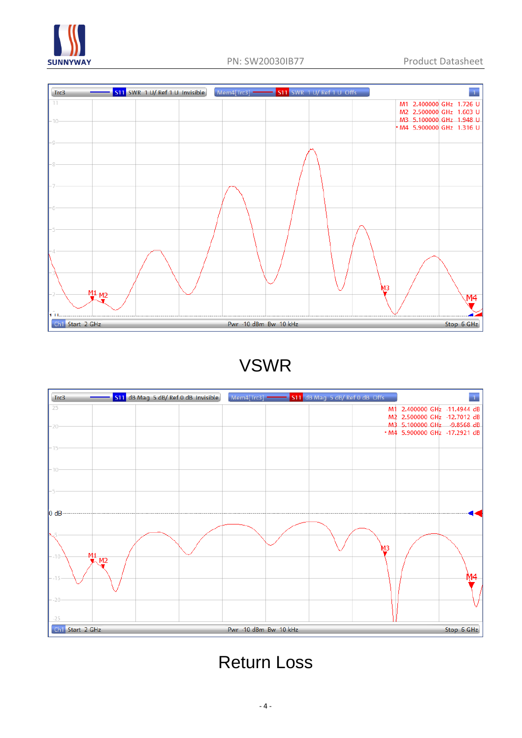



## VSWR



# Return Loss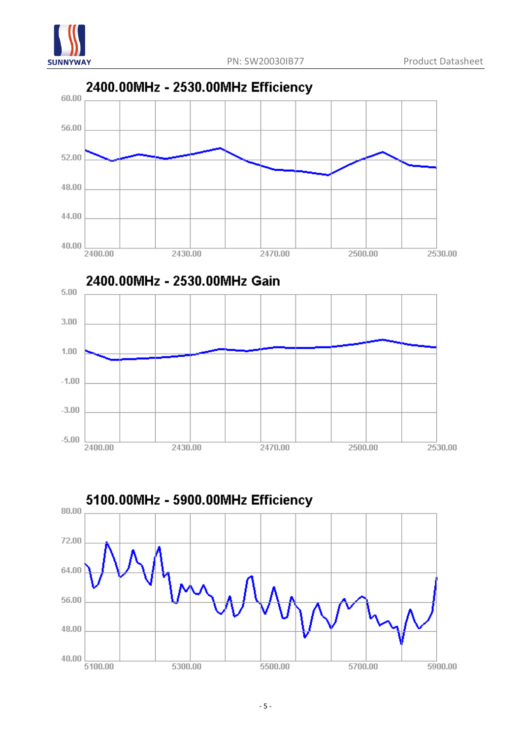



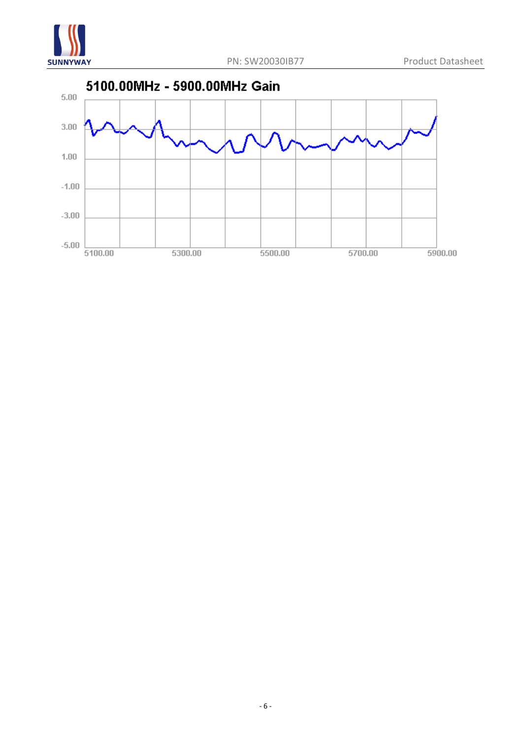

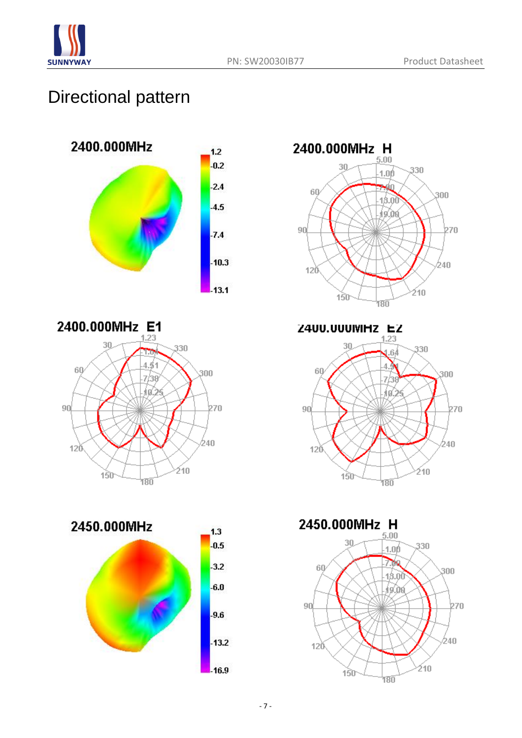

## Directional pattern











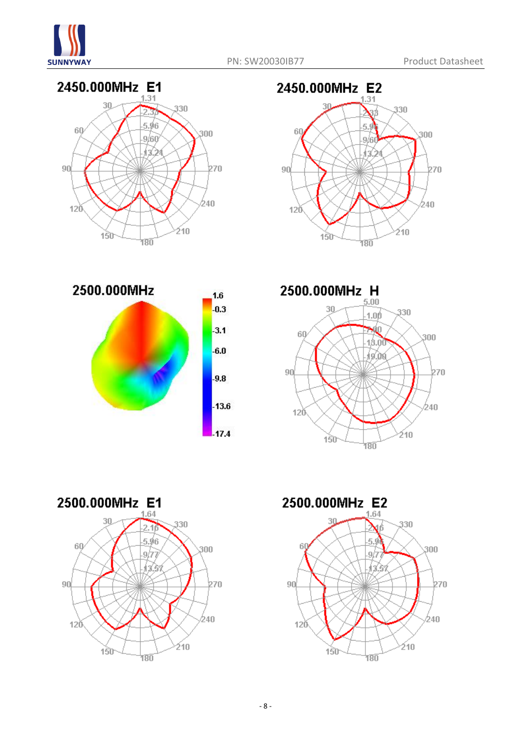











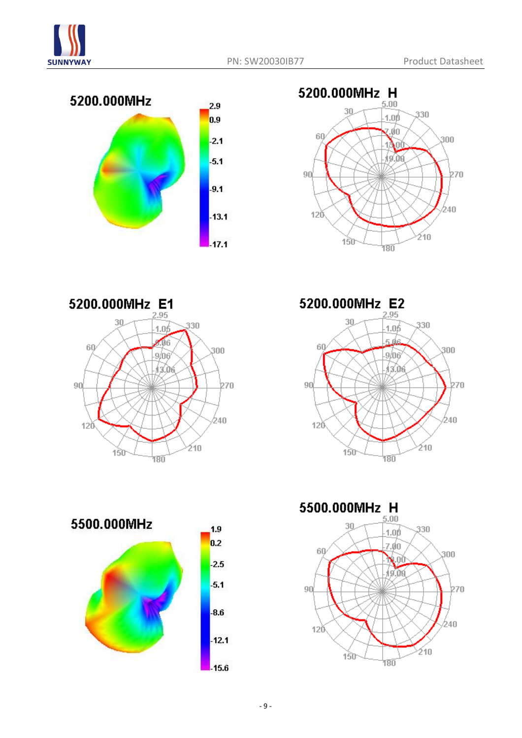









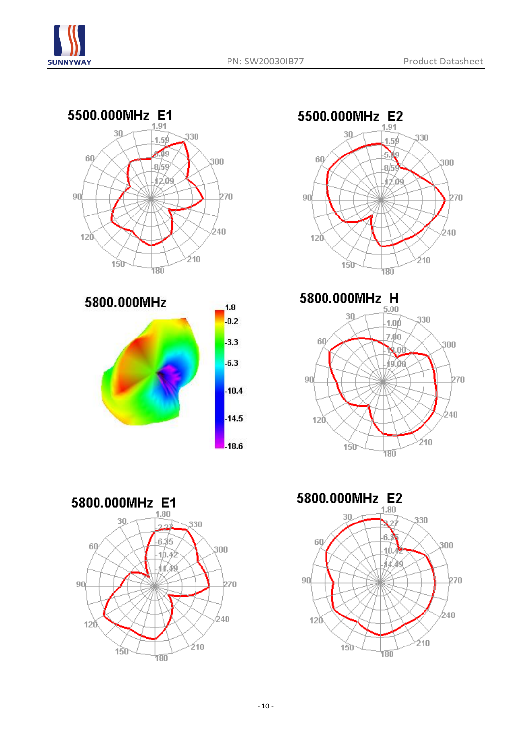